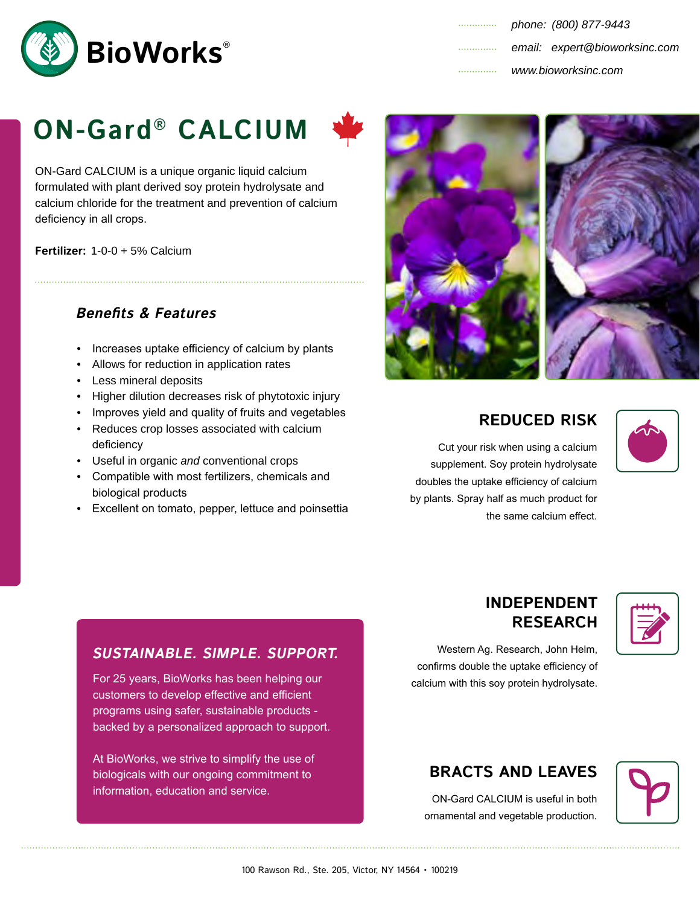

| . | www.bioworksinc.com |                               |
|---|---------------------|-------------------------------|
| . |                     | email: expert@bioworksinc.com |
| . |                     | phone: (800) 877-9443         |

# **ON-Gard® CALCIUM**



ON-Gard CALCIUM is a unique organic liquid calcium formulated with plant derived soy protein hydrolysate and calcium chloride for the treatment and prevention of calcium deficiency in all crops.

**Fertilizer:** 1-0-0 + 5% Calcium

## **Benefits & Features**

- Increases uptake efficiency of calcium by plants
- Allows for reduction in application rates
- Less mineral deposits
- Higher dilution decreases risk of phytotoxic injury
- Improves yield and quality of fruits and vegetables • Reduces crop losses associated with calcium deficiency
- Useful in organic *and* conventional crops
- Compatible with most fertilizers, chemicals and biological products
- Excellent on tomato, pepper, lettuce and poinsettia



# **REDUCED RISK**

**INDEPENDENT RESEARCH** 

Cut your risk when using a calcium supplement. Soy protein hydrolysate doubles the uptake efficiency of calcium by plants. Spray half as much product for the same calcium effect.



Western Ag. Research, John Helm, confirms double the uptake efficiency of calcium with this soy protein hydrolysate.

## **SUSTAINABLE. SIMPLE. SUPPORT.**

For 25 years, BioWorks has been helping our customers to develop effective and efficient programs using safer, sustainable products backed by a personalized approach to support.

At BioWorks, we strive to simplify the use of biologicals with our ongoing commitment to information, education and service.

# **BRACTS AND LEAVES**

ON-Gard CALCIUM is useful in both ornamental and vegetable production.